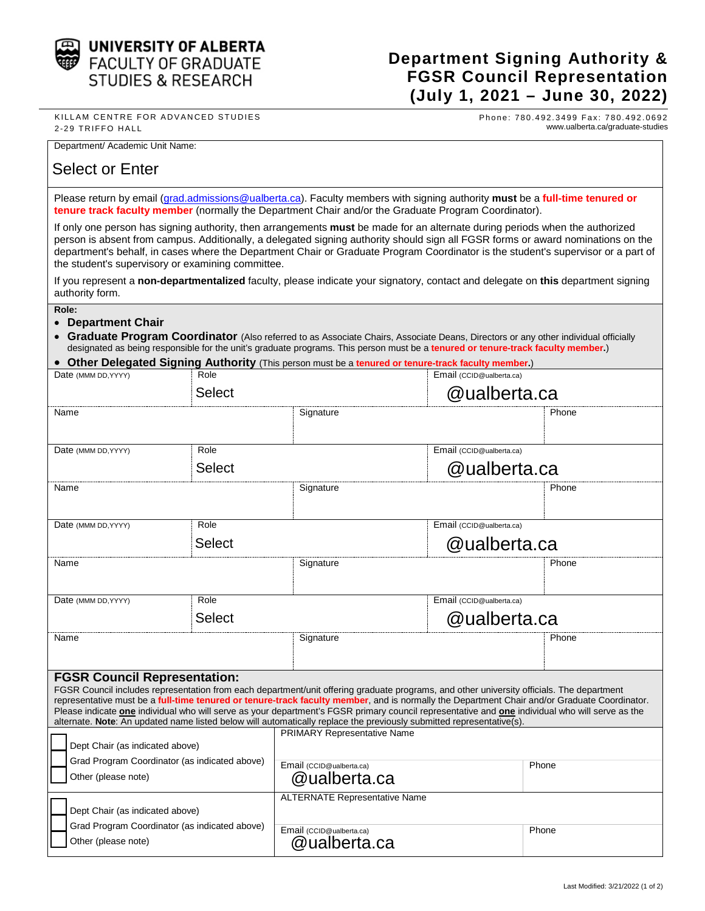

## **Department Signing Authority & FGSR Council Representation (July 1, 2021 – June 30, 2022)**

KILLAM CENTRE FOR ADVANCED STUDIES 2 -29 TRIFFO HALL

Phone: 780.492.3499 Fax: 780.492.0692 www.ualberta.ca/graduate-studies

Department/ Academic Unit Name:

## Select or Enter

Please return by email (grad.admissions@ualberta.ca). Faculty members with signing authority **must** be a **full-time tenured or tenure track faculty member** (normally the Department Chair and/or the Graduate Program Coordinator).

If only one person has signing authority, then arrangements **must** be made for an alternate during periods when the authorized person is absent from campus. Additionally, a delegated signing authority should sign all FGSR forms or award nominations on the department's behalf, in cases where the Department Chair or Graduate Program Coordinator is the student's supervisor or a part of the student's supervisory or examining committee.

If you represent a **non-departmentalized** faculty, please indicate your signatory, contact and delegate on **this** department signing authority form.

**Role:**

## • **Department Chair**

• **Graduate Program Coordinator** (Also referred to as Associate Chairs, Associate Deans, Directors or any other individual officially designated as being responsible for the unit's graduate programs. This person must be a **tenured or tenure-track faculty member.**)

• **Other Delegated Signing Authority** (This person must be a **tenured or tenure-track faculty member.**)

| Role<br>Date (MMM DD, YYYY)                                                                                                                                                                                                                                                                                                                                                                                                                                                                                                                                                                                               |               | Email (CCID@ualberta.ca)                 |                          |       |  |
|---------------------------------------------------------------------------------------------------------------------------------------------------------------------------------------------------------------------------------------------------------------------------------------------------------------------------------------------------------------------------------------------------------------------------------------------------------------------------------------------------------------------------------------------------------------------------------------------------------------------------|---------------|------------------------------------------|--------------------------|-------|--|
|                                                                                                                                                                                                                                                                                                                                                                                                                                                                                                                                                                                                                           | <b>Select</b> |                                          | @ualberta.ca             |       |  |
| Name                                                                                                                                                                                                                                                                                                                                                                                                                                                                                                                                                                                                                      |               | Signature                                |                          | Phone |  |
| Role<br>Date (MMM DD, YYYY)                                                                                                                                                                                                                                                                                                                                                                                                                                                                                                                                                                                               |               |                                          | Email (CCID@ualberta.ca) |       |  |
|                                                                                                                                                                                                                                                                                                                                                                                                                                                                                                                                                                                                                           | <b>Select</b> | @ualberta.ca                             |                          |       |  |
| Name                                                                                                                                                                                                                                                                                                                                                                                                                                                                                                                                                                                                                      |               | Signature                                |                          | Phone |  |
| Role<br>Date (MMM DD, YYYY)<br><b>Select</b>                                                                                                                                                                                                                                                                                                                                                                                                                                                                                                                                                                              |               |                                          | Email (CCID@ualberta.ca) |       |  |
|                                                                                                                                                                                                                                                                                                                                                                                                                                                                                                                                                                                                                           |               |                                          | @ualberta.ca             |       |  |
| Name                                                                                                                                                                                                                                                                                                                                                                                                                                                                                                                                                                                                                      |               | Signature                                |                          | Phone |  |
| Role<br>Date (MMM DD, YYYY)<br><b>Select</b>                                                                                                                                                                                                                                                                                                                                                                                                                                                                                                                                                                              |               | Email (CCID@ualberta.ca)                 |                          |       |  |
|                                                                                                                                                                                                                                                                                                                                                                                                                                                                                                                                                                                                                           |               | @ualberta.ca                             |                          |       |  |
| Name                                                                                                                                                                                                                                                                                                                                                                                                                                                                                                                                                                                                                      |               | Signature                                |                          | Phone |  |
| <b>FGSR Council Representation:</b><br>FGSR Council includes representation from each department/unit offering graduate programs, and other university officials. The department<br>representative must be a full-time tenured or tenure-track faculty member, and is normally the Department Chair and/or Graduate Coordinator.<br>Please indicate <b>one</b> individual who will serve as your department's FGSR primary council representative and <b>one</b> individual who will serve as the<br>alternate. Note: An updated name listed below will automatically replace the previously submitted representative(s). |               |                                          |                          |       |  |
| Dept Chair (as indicated above)                                                                                                                                                                                                                                                                                                                                                                                                                                                                                                                                                                                           |               | <b>PRIMARY Representative Name</b>       |                          |       |  |
| Grad Program Coordinator (as indicated above)                                                                                                                                                                                                                                                                                                                                                                                                                                                                                                                                                                             |               | Email (CCID@ualberta.ca)                 |                          | Phone |  |
| Other (please note)                                                                                                                                                                                                                                                                                                                                                                                                                                                                                                                                                                                                       |               | @ualberta.ca                             |                          |       |  |
| Dept Chair (as indicated above)                                                                                                                                                                                                                                                                                                                                                                                                                                                                                                                                                                                           |               | <b>ALTERNATE Representative Name</b>     |                          |       |  |
| Grad Program Coordinator (as indicated above)<br>Other (please note)                                                                                                                                                                                                                                                                                                                                                                                                                                                                                                                                                      |               | Email (CCID@ualberta.ca)<br>@ualberta.ca |                          | Phone |  |